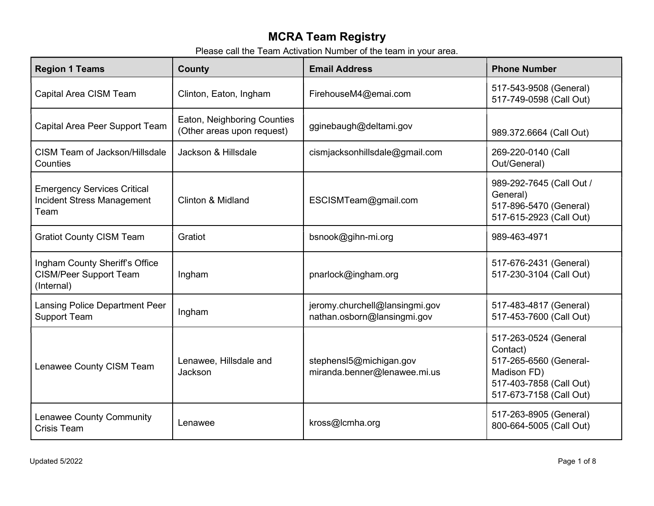## MCRA Team Registry

Please call the Team Activation Number of the team in your area.

| <b>Region 1 Teams</b>                                                           | County                                                    | <b>Email Address</b>                                          | <b>Phone Number</b>                                                                                                              |
|---------------------------------------------------------------------------------|-----------------------------------------------------------|---------------------------------------------------------------|----------------------------------------------------------------------------------------------------------------------------------|
| Capital Area CISM Team                                                          | Clinton, Eaton, Ingham                                    | FirehouseM4@emai.com                                          | 517-543-9508 (General)<br>517-749-0598 (Call Out)                                                                                |
| Capital Area Peer Support Team                                                  | Eaton, Neighboring Counties<br>(Other areas upon request) | gginebaugh@deltami.gov                                        | 989.372.6664 (Call Out)                                                                                                          |
| CISM Team of Jackson/Hillsdale<br>Counties                                      | Jackson & Hillsdale                                       | cismjacksonhillsdale@gmail.com                                | 269-220-0140 (Call<br>Out/General)                                                                                               |
| <b>Emergency Services Critical</b><br><b>Incident Stress Management</b><br>Team | Clinton & Midland                                         | ESCISMTeam@gmail.com                                          | 989-292-7645 (Call Out /<br>General)<br>517-896-5470 (General)<br>517-615-2923 (Call Out)                                        |
| <b>Gratiot County CISM Team</b>                                                 | Gratiot                                                   | bsnook@gihn-mi.org                                            | 989-463-4971                                                                                                                     |
| Ingham County Sheriff's Office<br><b>CISM/Peer Support Team</b><br>(Internal)   | Ingham                                                    | pnarlock@ingham.org                                           | 517-676-2431 (General)<br>517-230-3104 (Call Out)                                                                                |
| <b>Lansing Police Department Peer</b><br><b>Support Team</b>                    | Ingham                                                    | jeromy.churchell@lansingmi.gov<br>nathan.osborn@lansingmi.gov | 517-483-4817 (General)<br>517-453-7600 (Call Out)                                                                                |
| Lenawee County CISM Team                                                        | Lenawee, Hillsdale and<br>Jackson                         | stephensl5@michigan.gov<br>miranda.benner@lenawee.mi.us       | 517-263-0524 (General<br>Contact)<br>517-265-6560 (General-<br>Madison FD)<br>517-403-7858 (Call Out)<br>517-673-7158 (Call Out) |
| Lenawee County Community<br><b>Crisis Team</b>                                  | Lenawee                                                   | kross@cmha.org                                                | 517-263-8905 (General)<br>800-664-5005 (Call Out)                                                                                |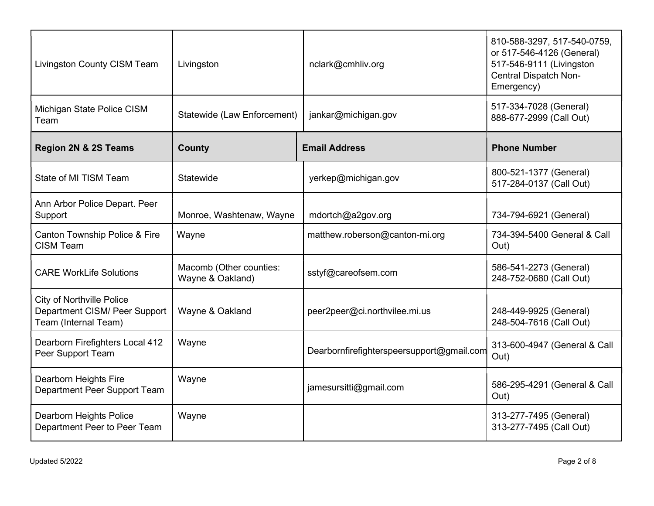| Livingston County CISM Team                                                               | Livingston                                  | nclark@cmhliv.org                         | 810-588-3297, 517-540-0759,<br>or 517-546-4126 (General)<br>517-546-9111 (Livingston<br><b>Central Dispatch Non-</b><br>Emergency) |
|-------------------------------------------------------------------------------------------|---------------------------------------------|-------------------------------------------|------------------------------------------------------------------------------------------------------------------------------------|
| Michigan State Police CISM<br>Team                                                        | Statewide (Law Enforcement)                 | jankar@michigan.gov                       | 517-334-7028 (General)<br>888-677-2999 (Call Out)                                                                                  |
| <b>Region 2N &amp; 2S Teams</b>                                                           | <b>County</b>                               | <b>Email Address</b>                      | <b>Phone Number</b>                                                                                                                |
| State of MI TISM Team                                                                     | Statewide                                   | yerkep@michigan.gov                       | 800-521-1377 (General)<br>517-284-0137 (Call Out)                                                                                  |
| Ann Arbor Police Depart. Peer<br>Support                                                  | Monroe, Washtenaw, Wayne                    | mdortch@a2gov.org                         | 734-794-6921 (General)                                                                                                             |
| Canton Township Police & Fire<br><b>CISM Team</b>                                         | Wayne                                       | matthew.roberson@canton-mi.org            | 734-394-5400 General & Call<br>Out)                                                                                                |
| <b>CARE WorkLife Solutions</b>                                                            | Macomb (Other counties:<br>Wayne & Oakland) | sstyf@careofsem.com                       | 586-541-2273 (General)<br>248-752-0680 (Call Out)                                                                                  |
| <b>City of Northville Police</b><br>Department CISM/ Peer Support<br>Team (Internal Team) | Wayne & Oakland                             | peer2peer@ci.northvilee.mi.us             | 248-449-9925 (General)<br>248-504-7616 (Call Out)                                                                                  |
| Dearborn Firefighters Local 412<br>Peer Support Team                                      | Wayne                                       | Dearbornfirefighterspeersupport@gmail.com | 313-600-4947 (General & Call<br>Out)                                                                                               |
| Dearborn Heights Fire<br>Department Peer Support Team                                     | Wayne                                       | jamesursitti@gmail.com                    | 586-295-4291 (General & Call<br>Out)                                                                                               |
| Dearborn Heights Police<br>Department Peer to Peer Team                                   | Wayne                                       |                                           | 313-277-7495 (General)<br>313-277-7495 (Call Out)                                                                                  |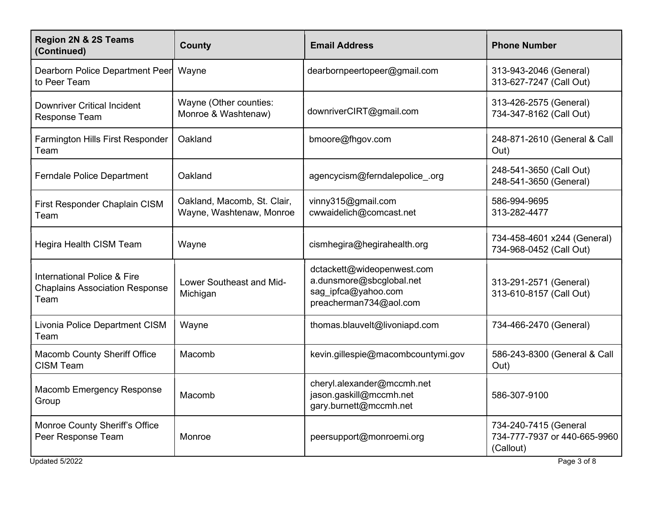| <b>Region 2N &amp; 2S Teams</b><br>(Continued)                                          | <b>County</b>                                           | <b>Email Address</b>                                                                                    | <b>Phone Number</b>                                                |
|-----------------------------------------------------------------------------------------|---------------------------------------------------------|---------------------------------------------------------------------------------------------------------|--------------------------------------------------------------------|
| Dearborn Police Department Peer<br>to Peer Team                                         | Wayne                                                   | dearbornpeertopeer@gmail.com                                                                            | 313-943-2046 (General)<br>313-627-7247 (Call Out)                  |
| <b>Downriver Critical Incident</b><br><b>Response Team</b>                              | Wayne (Other counties:<br>Monroe & Washtenaw)           | downriverCIRT@gmail.com                                                                                 | 313-426-2575 (General)<br>734-347-8162 (Call Out)                  |
| Farmington Hills First Responder<br>Team                                                | Oakland                                                 | bmoore@fhgov.com                                                                                        | 248-871-2610 (General & Call<br>Out)                               |
| <b>Ferndale Police Department</b>                                                       | Oakland                                                 | agencycism@ferndalepolice .org                                                                          | 248-541-3650 (Call Out)<br>248-541-3650 (General)                  |
| First Responder Chaplain CISM<br>Team                                                   | Oakland, Macomb, St. Clair,<br>Wayne, Washtenaw, Monroe | vinny315@gmail.com<br>cwwaidelich@comcast.net                                                           | 586-994-9695<br>313-282-4477                                       |
| Hegira Health CISM Team                                                                 | Wayne                                                   | cismhegira@hegirahealth.org                                                                             | 734-458-4601 x244 (General)<br>734-968-0452 (Call Out)             |
| <b>International Police &amp; Fire</b><br><b>Chaplains Association Response</b><br>Team | Lower Southeast and Mid-<br>Michigan                    | dctackett@wideopenwest.com<br>a.dunsmore@sbcglobal.net<br>sag_ipfca@yahoo.com<br>preacherman734@aol.com | 313-291-2571 (General)<br>313-610-8157 (Call Out)                  |
| Livonia Police Department CISM<br>Team                                                  | Wayne                                                   | thomas.blauvelt@livoniapd.com                                                                           | 734-466-2470 (General)                                             |
| <b>Macomb County Sheriff Office</b><br><b>CISM Team</b>                                 | Macomb                                                  | kevin.gillespie@macombcountymi.gov                                                                      | 586-243-8300 (General & Call<br>Out)                               |
| Macomb Emergency Response<br>Group                                                      | Macomb                                                  | cheryl.alexander@mccmh.net<br>jason.gaskill@mccmh.net<br>gary.burnett@mccmh.net                         | 586-307-9100                                                       |
| Monroe County Sheriff's Office<br>Peer Response Team                                    | Monroe                                                  | peersupport@monroemi.org                                                                                | 734-240-7415 (General<br>734-777-7937 or 440-665-9960<br>(Callout) |
| Updated 5/2022                                                                          |                                                         |                                                                                                         | Page 3 of 8                                                        |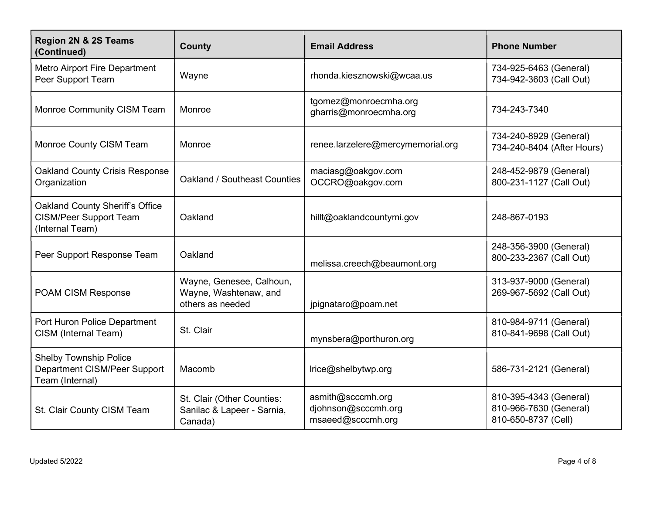| Region 2N & 2S Teams<br>(Continued)                                                 | <b>County</b>                                                         | <b>Email Address</b>                                          | <b>Phone Number</b>                                                     |
|-------------------------------------------------------------------------------------|-----------------------------------------------------------------------|---------------------------------------------------------------|-------------------------------------------------------------------------|
| <b>Metro Airport Fire Department</b><br>Peer Support Team                           | Wayne                                                                 | rhonda.kiesznowski@wcaa.us                                    | 734-925-6463 (General)<br>734-942-3603 (Call Out)                       |
| Monroe Community CISM Team                                                          | Monroe                                                                | tgomez@monroecmha.org<br>gharris@monroecmha.org               | 734-243-7340                                                            |
| Monroe County CISM Team                                                             | Monroe                                                                | renee.larzelere@mercymemorial.org                             | 734-240-8929 (General)<br>734-240-8404 (After Hours)                    |
| <b>Oakland County Crisis Response</b><br>Organization                               | Oakland / Southeast Counties                                          | maciasg@oakgov.com<br>OCCRO@oakgov.com                        | 248-452-9879 (General)<br>800-231-1127 (Call Out)                       |
| Oakland County Sheriff's Office<br><b>CISM/Peer Support Team</b><br>(Internal Team) | Oakland                                                               | hillt@oaklandcountymi.gov                                     | 248-867-0193                                                            |
| Peer Support Response Team                                                          | Oakland                                                               | melissa.creech@beaumont.org                                   | 248-356-3900 (General)<br>800-233-2367 (Call Out)                       |
| POAM CISM Response                                                                  | Wayne, Genesee, Calhoun,<br>Wayne, Washtenaw, and<br>others as needed | jpignataro@poam.net                                           | 313-937-9000 (General)<br>269-967-5692 (Call Out)                       |
| Port Huron Police Department<br>CISM (Internal Team)                                | St. Clair                                                             | mynsbera@porthuron.org                                        | 810-984-9711 (General)<br>810-841-9698 (Call Out)                       |
| <b>Shelby Township Police</b><br>Department CISM/Peer Support<br>Team (Internal)    | Macomb                                                                | Irice@shelbytwp.org                                           | 586-731-2121 (General)                                                  |
| St. Clair County CISM Team                                                          | St. Clair (Other Counties:<br>Sanilac & Lapeer - Sarnia,<br>Canada)   | asmith@scccmh.org<br>djohnson@scccmh.org<br>msaeed@scccmh.org | 810-395-4343 (General)<br>810-966-7630 (General)<br>810-650-8737 (Cell) |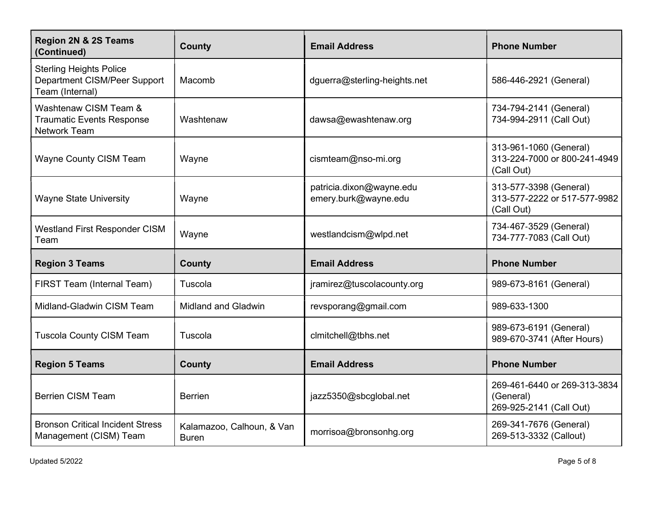| Region 2N & 2S Teams<br>(Continued)                                               | <b>County</b>                             | <b>Email Address</b>                             | <b>Phone Number</b>                                                  |
|-----------------------------------------------------------------------------------|-------------------------------------------|--------------------------------------------------|----------------------------------------------------------------------|
| <b>Sterling Heights Police</b><br>Department CISM/Peer Support<br>Team (Internal) | Macomb                                    | dguerra@sterling-heights.net                     | 586-446-2921 (General)                                               |
| Washtenaw CISM Team &<br><b>Traumatic Events Response</b><br><b>Network Team</b>  | Washtenaw                                 | dawsa@ewashtenaw.org                             | 734-794-2141 (General)<br>734-994-2911 (Call Out)                    |
| <b>Wayne County CISM Team</b>                                                     | Wayne                                     | cismteam@nso-mi.org                              | 313-961-1060 (General)<br>313-224-7000 or 800-241-4949<br>(Call Out) |
| <b>Wayne State University</b>                                                     | Wayne                                     | patricia.dixon@wayne.edu<br>emery.burk@wayne.edu | 313-577-3398 (General)<br>313-577-2222 or 517-577-9982<br>(Call Out) |
| <b>Westland First Responder CISM</b><br>Team                                      | Wayne                                     | westlandcism@wlpd.net                            | 734-467-3529 (General)<br>734-777-7083 (Call Out)                    |
| <b>Region 3 Teams</b>                                                             | <b>County</b>                             | <b>Email Address</b>                             | <b>Phone Number</b>                                                  |
| FIRST Team (Internal Team)                                                        | Tuscola                                   | jramirez@tuscolacounty.org                       | 989-673-8161 (General)                                               |
| Midland-Gladwin CISM Team                                                         | <b>Midland and Gladwin</b>                | revsporang@gmail.com                             | 989-633-1300                                                         |
| <b>Tuscola County CISM Team</b>                                                   | Tuscola                                   | clmitchell@tbhs.net                              | 989-673-6191 (General)<br>989-670-3741 (After Hours)                 |
| <b>Region 5 Teams</b>                                                             | County                                    | <b>Email Address</b>                             | <b>Phone Number</b>                                                  |
| <b>Berrien CISM Team</b>                                                          | <b>Berrien</b>                            | jazz5350@sbcglobal.net                           | 269-461-6440 or 269-313-3834<br>(General)<br>269-925-2141 (Call Out) |
| <b>Bronson Critical Incident Stress</b><br>Management (CISM) Team                 | Kalamazoo, Calhoun, & Van<br><b>Buren</b> | morrisoa@bronsonhg.org                           | 269-341-7676 (General)<br>269-513-3332 (Callout)                     |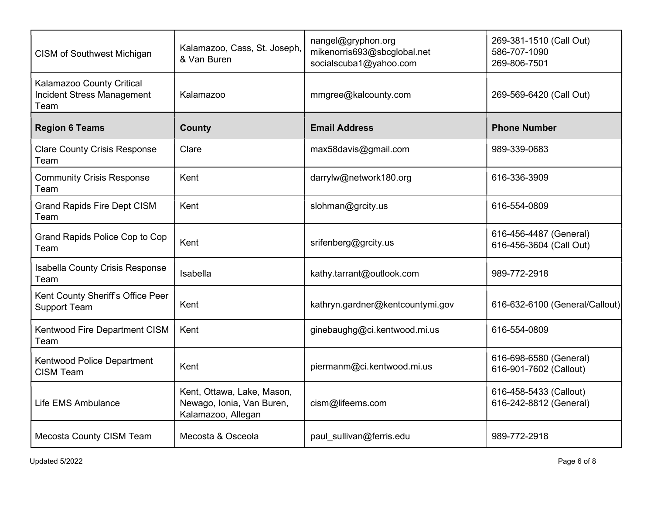| <b>CISM of Southwest Michigan</b>                                      | Kalamazoo, Cass, St. Joseph,<br>& Van Buren                                   | nangel@gryphon.org<br>mikenorris693@sbcglobal.net<br>socialscuba1@yahoo.com | 269-381-1510 (Call Out)<br>586-707-1090<br>269-806-7501 |
|------------------------------------------------------------------------|-------------------------------------------------------------------------------|-----------------------------------------------------------------------------|---------------------------------------------------------|
| Kalamazoo County Critical<br><b>Incident Stress Management</b><br>Team | Kalamazoo                                                                     | mmgree@kalcounty.com                                                        | 269-569-6420 (Call Out)                                 |
| <b>Region 6 Teams</b>                                                  | <b>County</b>                                                                 | <b>Email Address</b>                                                        | <b>Phone Number</b>                                     |
| <b>Clare County Crisis Response</b><br>Team                            | Clare                                                                         | max58davis@gmail.com                                                        | 989-339-0683                                            |
| <b>Community Crisis Response</b><br>Team                               | Kent                                                                          | darrylw@network180.org                                                      | 616-336-3909                                            |
| <b>Grand Rapids Fire Dept CISM</b><br>Team                             | Kent                                                                          | slohman@grcity.us                                                           | 616-554-0809                                            |
| Grand Rapids Police Cop to Cop<br>Team                                 | Kent                                                                          | srifenberg@grcity.us                                                        | 616-456-4487 (General)<br>616-456-3604 (Call Out)       |
| <b>Isabella County Crisis Response</b><br>Team                         | Isabella                                                                      | kathy.tarrant@outlook.com                                                   | 989-772-2918                                            |
| Kent County Sheriff's Office Peer<br><b>Support Team</b>               | Kent                                                                          | kathryn.gardner@kentcountymi.gov                                            | 616-632-6100 (General/Callout)                          |
| Kentwood Fire Department CISM<br>Team                                  | Kent                                                                          | ginebaughg@ci.kentwood.mi.us                                                | 616-554-0809                                            |
| Kentwood Police Department<br><b>CISM Team</b>                         | Kent                                                                          | piermanm@ci.kentwood.mi.us                                                  | 616-698-6580 (General)<br>616-901-7602 (Callout)        |
| Life EMS Ambulance                                                     | Kent, Ottawa, Lake, Mason,<br>Newago, Ionia, Van Buren,<br>Kalamazoo, Allegan | cism@lifeems.com                                                            | 616-458-5433 (Callout)<br>616-242-8812 (General)        |
| Mecosta County CISM Team                                               | Mecosta & Osceola                                                             | paul sullivan@ferris.edu                                                    | 989-772-2918                                            |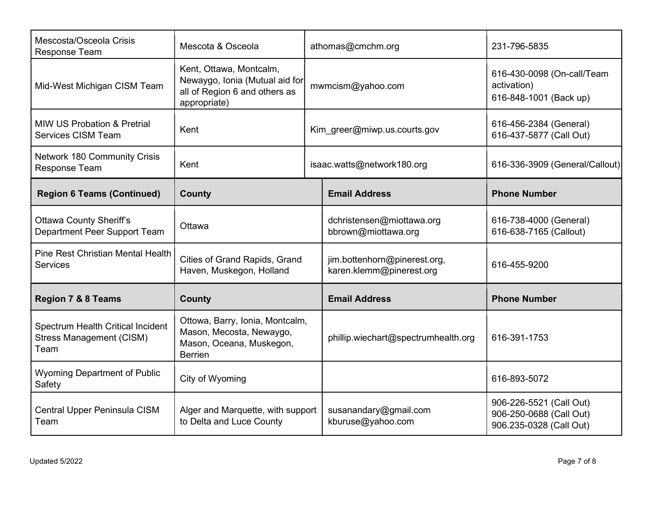| Mescosta/Osceola Crisis<br><b>Response Team</b>                              | Mescota & Osceola                                                                                          | athomas@cmchm.org                                        | 231-796-5835                                                                  |
|------------------------------------------------------------------------------|------------------------------------------------------------------------------------------------------------|----------------------------------------------------------|-------------------------------------------------------------------------------|
| Mid-West Michigan CISM Team                                                  | Kent, Ottawa, Montcalm,<br>Newaygo, Ionia (Mutual aid for<br>all of Region 6 and others as<br>appropriate) | mwmcism@yahoo.com                                        | 616-430-0098 (On-call/Team<br>activation)<br>616-848-1001 (Back up)           |
| <b>MIW US Probation &amp; Pretrial</b><br>Services CISM Team                 | Kent                                                                                                       | Kim greer@miwp.us.courts.gov                             | 616-456-2384 (General)<br>616-437-5877 (Call Out)                             |
| <b>Network 180 Community Crisis</b><br>Response Team                         | Kent                                                                                                       | isaac.watts@network180.org                               | 616-336-3909 (General/Callout)                                                |
| <b>Region 6 Teams (Continued)</b>                                            | County                                                                                                     | <b>Email Address</b>                                     | <b>Phone Number</b>                                                           |
| <b>Ottawa County Sheriff's</b><br>Department Peer Support Team               | Ottawa                                                                                                     | dchristensen@miottawa.org<br>bbrown@miottawa.org         | 616-738-4000 (General)<br>616-638-7165 (Callout)                              |
| <b>Pine Rest Christian Mental Health</b><br><b>Services</b>                  | Cities of Grand Rapids, Grand<br>Haven, Muskegon, Holland                                                  | jim.bottenhorn@pinerest.org,<br>karen.klemm@pinerest.org | 616-455-9200                                                                  |
| <b>Region 7 &amp; 8 Teams</b>                                                | <b>County</b>                                                                                              | <b>Email Address</b>                                     | <b>Phone Number</b>                                                           |
| Spectrum Health Critical Incident<br><b>Stress Management (CISM)</b><br>Team | Ottowa, Barry, Ionia, Montcalm,<br>Mason, Mecosta, Newaygo,<br>Mason, Oceana, Muskegon,<br><b>Berrien</b>  | phillip.wiechart@spectrumhealth.org                      | 616-391-1753                                                                  |
| <b>Wyoming Department of Public</b><br>Safety                                | City of Wyoming                                                                                            |                                                          | 616-893-5072                                                                  |
| Central Upper Peninsula CISM<br>Team                                         | Alger and Marquette, with support<br>to Delta and Luce County                                              | susanandary@gmail.com<br>kburuse@yahoo.com               | 906-226-5521 (Call Out)<br>906-250-0688 (Call Out)<br>906.235-0328 (Call Out) |